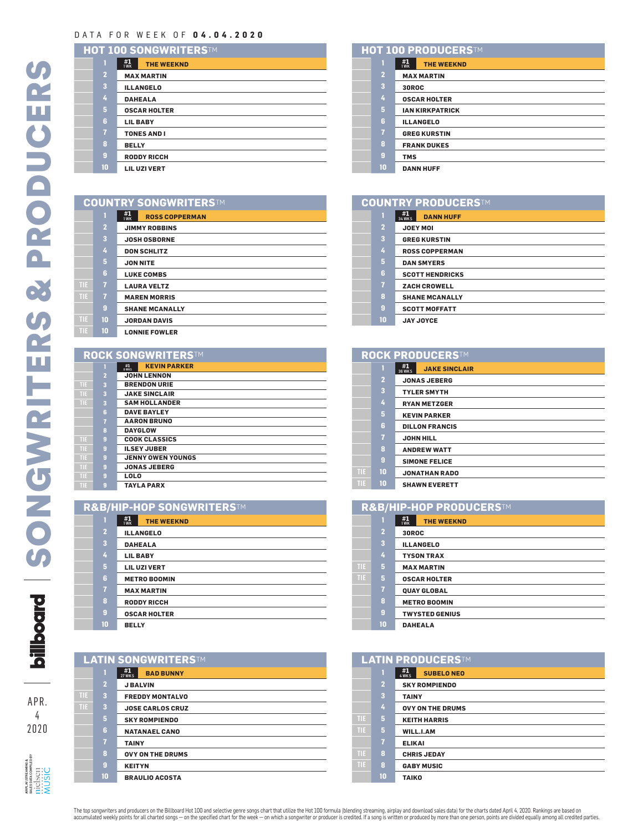## DATA FOR WEEK OF **04.04.2020**

| HOT 100 SONGWRITERS™ |                         |                                 |
|----------------------|-------------------------|---------------------------------|
|                      |                         | #1<br><b>THE WEEKND</b><br>1 WK |
|                      | $\overline{2}$          | <b>MAX MARTIN</b>               |
|                      | $\overline{\mathbf{3}}$ | <b>ILLANGELO</b>                |
|                      | 4                       | <b>DAHEALA</b>                  |
|                      | 5                       | <b>OSCAR HOLTER</b>             |
|                      | 6                       | <b>LIL BABY</b>                 |
|                      | $\overline{1}$          | <b>TONES AND I</b>              |
|                      | 8                       | <b>BELLY</b>                    |
|                      | $\overline{9}$          | <b>RODDY RICCH</b>              |
|                      | 10                      | <b>LIL UZI VERT</b>             |

| <b>COUNTRY SONGWRITERSTM</b> |  |
|------------------------------|--|
|------------------------------|--|

|                         | #1<br><b>ROSS COPPERMAN</b><br>1 WK |
|-------------------------|-------------------------------------|
| $\overline{2}$          | <b>JIMMY ROBBINS</b>                |
| $\overline{\mathbf{3}}$ | <b>JOSH OSBORNE</b>                 |
| 4                       | <b>DON SCHLITZ</b>                  |
| 5                       | <b>JON NITE</b>                     |
| 6                       | <b>LUKE COMBS</b>                   |
| $\overline{7}$          | <b>LAURA VELTZ</b>                  |
| $\overline{7}$          | <b>MAREN MORRIS</b>                 |
| $\overline{9}$          | <b>SHANE MCANALLY</b>               |
| 10                      | <b>JORDAN DAVIS</b>                 |
| 10                      | <b>LONNIE FOWLER</b>                |

## **ROCK SONGWRITERSTM**

|      | 1                       | <b>KEVIN PARKER</b><br>$\frac{#1}{8 \text{ WKS}}$ |
|------|-------------------------|---------------------------------------------------|
|      | $\overline{a}$          | <b>JOHN LENNON</b>                                |
| TIE  | $\overline{\mathbf{3}}$ | <b>BRENDON URIE</b>                               |
| TIE. | $\overline{\mathbf{3}}$ | <b>JAKE SINCLAIR</b>                              |
| TIE. | $\overline{\mathbf{3}}$ | <b>SAM HOLLANDER</b>                              |
|      | 6                       | <b>DAVE BAYLEY</b>                                |
|      | $\overline{1}$          | <b>AARON BRUNO</b>                                |
|      | $\bf{8}$                | <b>DAYGLOW</b>                                    |
| TIE. | 9                       | <b>COOK CLASSICS</b>                              |
| TË   | $\overline{9}$          | <b>ILSEY JUBER</b>                                |
| TIE  | $\overline{9}$          | <b>JENNY OWEN YOUNGS</b>                          |
| TIE  | $\overline{9}$          | <b>JONAS JEBERG</b>                               |
| TIE  | 9                       | <b>LOLO</b>                                       |
| TIE  | 9                       | <b>TAYLA PARX</b>                                 |
|      |                         |                                                   |

| R&B/HIP-HOP SONGWRITERS™ |                |                                 |  |
|--------------------------|----------------|---------------------------------|--|
|                          |                | #1<br><b>THE WEEKND</b><br>1 WK |  |
|                          | $\overline{2}$ | <b>ILLANGELO</b>                |  |
|                          | 3              | <b>DAHEALA</b>                  |  |
|                          | 4              | <b>LIL BABY</b>                 |  |
|                          | 5              | <b>LIL UZI VERT</b>             |  |
|                          | 6              | <b>METRO BOOMIN</b>             |  |
|                          | $\overline{1}$ | <b>MAX MARTIN</b>               |  |
|                          | 8              | <b>RODDY RICCH</b>              |  |
|                          | 9              | <b>OSCAR HOLTER</b>             |  |
|                          | 10             | <b>BELLY</b>                    |  |

| LATIN SONGWRITERSTM |                |                                         |  |
|---------------------|----------------|-----------------------------------------|--|
|                     |                | #1<br><b>BAD BUNNY</b><br><b>27 WKS</b> |  |
|                     | $\overline{a}$ | <b>J BALVIN</b>                         |  |
| TIE                 | 3              | <b>FREDDY MONTALVO</b>                  |  |
| TВ                  | 3              | <b>JOSE CARLOS CRUZ</b>                 |  |
|                     | 5              | <b>SKY ROMPIENDO</b>                    |  |
|                     | 6              | <b>NATANAEL CANO</b>                    |  |
|                     | $\overline{1}$ | <b>TAINY</b>                            |  |
|                     | 8              | <b>OVY ON THE DRUMS</b>                 |  |
|                     | 9              | <b>KEITYN</b>                           |  |

**BRAULIO ACOSTA**

| HOT 100 PRODUCERSTM |                         |                                 |
|---------------------|-------------------------|---------------------------------|
|                     |                         | #1<br><b>THE WEEKND</b><br>1 WK |
|                     | $\overline{a}$          | <b>MAX MARTIN</b>               |
|                     | $\overline{\mathbf{3}}$ | <b>30ROC</b>                    |
|                     | 4                       | <b>OSCAR HOLTER</b>             |
|                     | 5                       | <b>IAN KIRKPATRICK</b>          |
|                     | 6                       | <b>ILLANGELO</b>                |
|                     | 7                       | <b>GREG KURSTIN</b>             |
|                     | 8                       | <b>FRANK DUKES</b>              |
|                     | 9                       | <b>TMS</b>                      |
|                     | 10                      | <b>DANN HUFF</b>                |

| <b>COUNTRY PRODUCERSTM</b> |                |                                         |
|----------------------------|----------------|-----------------------------------------|
|                            |                | #1<br><b>DANN HUFF</b><br><b>34 WKS</b> |
|                            | $\overline{2}$ | <b>JOEY MOI</b>                         |
|                            | 3              | <b>GREG KURSTIN</b>                     |
|                            | 4              | <b>ROSS COPPERMAN</b>                   |
|                            | 5              | <b>DAN SMYERS</b>                       |
|                            | 6              | <b>SCOTT HENDRICKS</b>                  |
|                            | $\overline{7}$ | <b>ZACH CROWELL</b>                     |
|                            | 8              | <b>SHANE MCANALLY</b>                   |
|                            | 9              | <b>SCOTT MOFFATT</b>                    |
|                            | 10             | <b>JAY JOYCE</b>                        |

|     | <b>ROCK PRODUCERSTM</b> |                                                      |  |  |
|-----|-------------------------|------------------------------------------------------|--|--|
|     |                         | $\frac{\#1}{36 \text{ WKS}}$<br><b>JAKE SINCLAIR</b> |  |  |
|     | $\overline{2}$          | <b>JONAS JEBERG</b>                                  |  |  |
|     | 3                       | <b>TYLER SMYTH</b>                                   |  |  |
|     | 4                       | <b>RYAN METZGER</b>                                  |  |  |
|     | 5                       | <b>KEVIN PARKER</b>                                  |  |  |
|     | 6                       | <b>DILLON FRANCIS</b>                                |  |  |
|     | $\overline{7}$          | <b>JOHN HILL</b>                                     |  |  |
|     | 8                       | <b>ANDREW WATT</b>                                   |  |  |
|     | 9                       | <b>SIMONE FELICE</b>                                 |  |  |
| TIE | 10                      | <b>JONATHAN RADO</b>                                 |  |  |
| TIE | 10                      | <b>SHAWN EVERETT</b>                                 |  |  |

| R&B/HIP-HOP PRODUCERSTM |                         |                                 |
|-------------------------|-------------------------|---------------------------------|
|                         |                         | #1<br><b>THE WEEKND</b><br>1 WK |
|                         | $\overline{2}$          | <b>30ROC</b>                    |
|                         | $\overline{\mathbf{3}}$ | <b>ILLANGELO</b>                |
|                         | 4                       | <b>TYSON TRAX</b>               |
| TIE                     | 5                       | <b>MAX MARTIN</b>               |
| <b>TIE</b>              | 5                       | <b>OSCAR HOLTER</b>             |
|                         | $\overline{ }$          | <b>QUAY GLOBAL</b>              |
|                         | 8                       | <b>METRO BOOMIN</b>             |
|                         | 9                       | <b>TWYSTED GENIUS</b>           |
|                         | 10                      | <b>DAHEALA</b>                  |

| LATIN PRODUCERSTM |                |                                                       |
|-------------------|----------------|-------------------------------------------------------|
|                   | 1              | $\frac{\text{#1}}{4 \text{WKS}}$<br><b>SUBELO NEO</b> |
|                   | $\overline{2}$ | <b>SKY ROMPIENDO</b>                                  |
|                   | 3              | <b>TAINY</b>                                          |
|                   | 4              | <b>OVY ON THE DRUMS</b>                               |
| TIE               | 5              | <b>KEITH HARRIS</b>                                   |
| TIE.              | 5              | WILL.I.AM                                             |
|                   | 7              | <b>ELIKAI</b>                                         |
| TIE               | 8              | <b>CHRIS JEDAY</b>                                    |
| TIE.              | 8              | <b>GABY MUSIC</b>                                     |
|                   | 10             | <b>TAIKO</b>                                          |

APR. 

AIRPLAY/STREAMING & SALES DATA COMPILED BY

airelay.streamig.ex<br>sales data compiled by<br><u>MUSIC</u><br>MUSIC

 $TIE$  $TIE$ 

**TIE 10 JORDAN DAVIS TIE 10 LONNIE FOWLER**

 $\overline{\phantom{a}}$  **TIE TIE 9 ILSEY JUBER** 

The top songwriters and producers on the Billboard Hot 100 and selective genre songs chart that utilize the Hot 100 formula (blending streaming, airplay and download sales data ) for the charts date along the subseque are